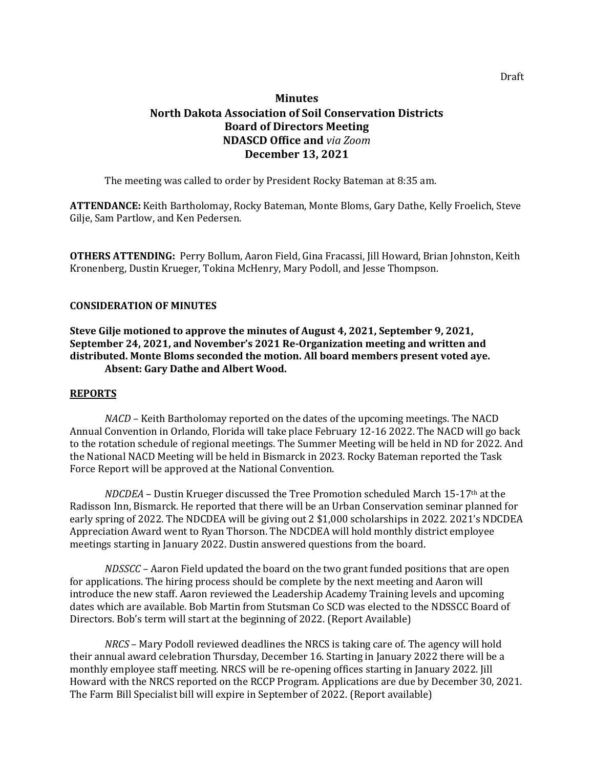# **Minutes North Dakota Association of Soil Conservation Districts Board of Directors Meeting NDASCD Office and** *via Zoom* **December 13, 2021**

The meeting was called to order by President Rocky Bateman at 8:35 am.

**ATTENDANCE:** Keith Bartholomay, Rocky Bateman, Monte Bloms, Gary Dathe, Kelly Froelich, Steve Gilje, Sam Partlow, and Ken Pedersen.

**OTHERS ATTENDING:** Perry Bollum, Aaron Field, Gina Fracassi, Jill Howard, Brian Johnston, Keith Kronenberg, Dustin Krueger, Tokina McHenry, Mary Podoll, and Jesse Thompson.

## **CONSIDERATION OF MINUTES**

**Steve Gilje motioned to approve the minutes of August 4, 2021, September 9, 2021, September 24, 2021, and November's 2021 Re-Organization meeting and written and distributed. Monte Bloms seconded the motion. All board members present voted aye. Absent: Gary Dathe and Albert Wood.**

#### **REPORTS**

*NACD* – Keith Bartholomay reported on the dates of the upcoming meetings. The NACD Annual Convention in Orlando, Florida will take place February 12-16 2022. The NACD will go back to the rotation schedule of regional meetings. The Summer Meeting will be held in ND for 2022. And the National NACD Meeting will be held in Bismarck in 2023. Rocky Bateman reported the Task Force Report will be approved at the National Convention.

*NDCDEA* – Dustin Krueger discussed the Tree Promotion scheduled March 15-17th at the Radisson Inn, Bismarck. He reported that there will be an Urban Conservation seminar planned for early spring of 2022. The NDCDEA will be giving out 2 \$1,000 scholarships in 2022. 2021's NDCDEA Appreciation Award went to Ryan Thorson. The NDCDEA will hold monthly district employee meetings starting in January 2022. Dustin answered questions from the board.

*NDSSCC* – Aaron Field updated the board on the two grant funded positions that are open for applications. The hiring process should be complete by the next meeting and Aaron will introduce the new staff. Aaron reviewed the Leadership Academy Training levels and upcoming dates which are available. Bob Martin from Stutsman Co SCD was elected to the NDSSCC Board of Directors. Bob's term will start at the beginning of 2022. (Report Available)

*NRCS* – Mary Podoll reviewed deadlines the NRCS is taking care of. The agency will hold their annual award celebration Thursday, December 16. Starting in January 2022 there will be a monthly employee staff meeting. NRCS will be re-opening offices starting in January 2022. Jill Howard with the NRCS reported on the RCCP Program. Applications are due by December 30, 2021. The Farm Bill Specialist bill will expire in September of 2022. (Report available)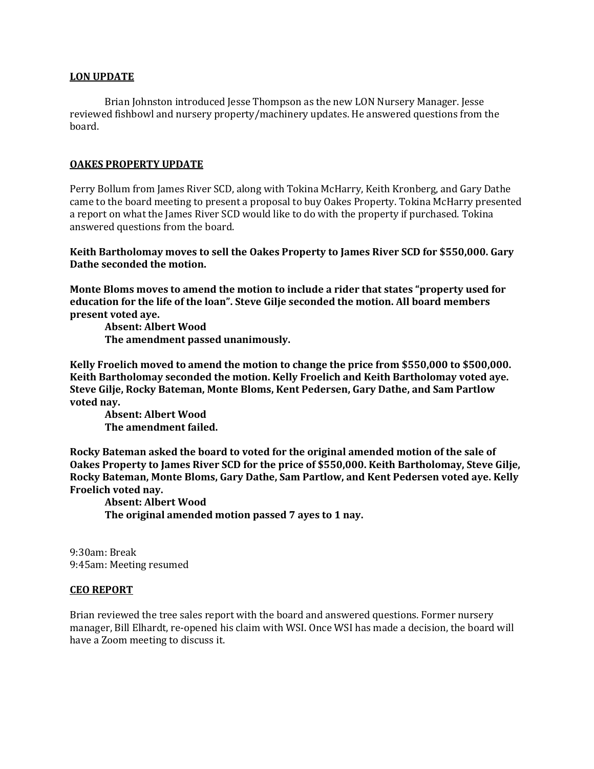## **LON UPDATE**

Brian Johnston introduced Jesse Thompson as the new LON Nursery Manager. Jesse reviewed fishbowl and nursery property/machinery updates. He answered questions from the board.

## **OAKES PROPERTY UPDATE**

Perry Bollum from James River SCD, along with Tokina McHarry, Keith Kronberg, and Gary Dathe came to the board meeting to present a proposal to buy Oakes Property. Tokina McHarry presented a report on what the James River SCD would like to do with the property if purchased. Tokina answered questions from the board.

**Keith Bartholomay moves to sell the Oakes Property to James River SCD for \$550,000. Gary Dathe seconded the motion.** 

**Monte Bloms moves to amend the motion to include a rider that states "property used for education for the life of the loan". Steve Gilje seconded the motion. All board members present voted aye.**

**Absent: Albert Wood The amendment passed unanimously.**

**Kelly Froelich moved to amend the motion to change the price from \$550,000 to \$500,000. Keith Bartholomay seconded the motion. Kelly Froelich and Keith Bartholomay voted aye. Steve Gilje, Rocky Bateman, Monte Bloms, Kent Pedersen, Gary Dathe, and Sam Partlow voted nay.** 

**Absent: Albert Wood The amendment failed.**

**Rocky Bateman asked the board to voted for the original amended motion of the sale of Oakes Property to James River SCD for the price of \$550,000. Keith Bartholomay, Steve Gilje, Rocky Bateman, Monte Bloms, Gary Dathe, Sam Partlow, and Kent Pedersen voted aye. Kelly Froelich voted nay.**

**Absent: Albert Wood The original amended motion passed 7 ayes to 1 nay.**

9:30am: Break 9:45am: Meeting resumed

#### **CEO REPORT**

Brian reviewed the tree sales report with the board and answered questions. Former nursery manager, Bill Elhardt, re-opened his claim with WSI. Once WSI has made a decision, the board will have a Zoom meeting to discuss it.